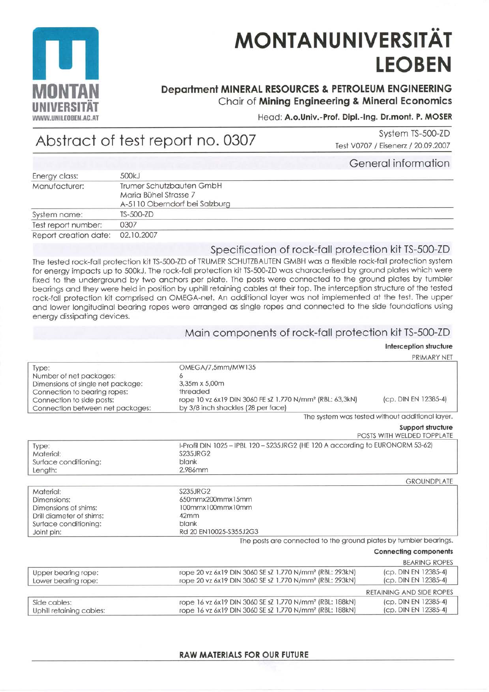

Type:

Material:

Length:

# **MONTANUNIVERSITÄT LEOBEN**

# **Department MINERAL RESOURCES & PETROLEUM ENGINEERING** Chair of Mining Engineering & Mineral Economics

### Head: A.o.Univ.-Prof. Dipl.-Ing. Dr.mont. P. MOSER

# Abstract of test report no. 0307

System TS-500-ZD Test V0707 / Eisenerz / 20.09.2007

|                       |                               | General information |
|-----------------------|-------------------------------|---------------------|
| Energy class:         | 500kJ                         |                     |
| Manufacturer:         | Trumer Schutzbauten GmbH      |                     |
|                       | Maria Bühel Strasse 7         |                     |
|                       | A-5110 Oberndorf bei Salzburg |                     |
| System name:          | $TS-500-2D$                   |                     |
| Test report number:   | 0307                          |                     |
| Report creation date: | 02.10.2007                    |                     |

### Specification of rock-fall protection kit TS-500-ZD

The tested rock-fall protection kit TS-500-ZD of TRUMER SCHUTZBAUTEN GMBH was a flexible rock-fall protection system for energy impacts up to 500kJ. The rock-fall protection kit TS-500-ZD was characterised by ground plates which were fixed to the underground by two anchors per plate. The posts were connected to the ground plates by tumbler bearings and they were held in position by uphill retaining cables at their top. The interception structure of the tested rock-fall protection kit comprised an OMEGA-net. An additional layer was not implemented at the test. The upper and lower longitudinal bearing ropes were arranged as single ropes and connected to the side foundations using energy dissipating devices.

### Main components of rock-fall protection kit TS-500-ZD

# Interception structure

|                                   |                                                                      | PRIMARY NET                                     |
|-----------------------------------|----------------------------------------------------------------------|-------------------------------------------------|
| Type:                             | OMEGA/7,5mm/MW135                                                    |                                                 |
| Number of net packages:           |                                                                      |                                                 |
| Dimensions of single net package: | 3,35m x 5,00m                                                        |                                                 |
| Connection to bearing ropes:      | threaded                                                             |                                                 |
| Connection to side posts:         | rope 10 vz 6x19 DIN 3060 FE sZ 1.770 N/mm <sup>2</sup> (RBL: 63,3kN) | (cp. DIN EN 12385-4)                            |
| Connection between net packages:  | by 3/8 inch shackles (28 per face)                                   |                                                 |
|                                   |                                                                      | The system was tested without additional layer. |
|                                   |                                                                      | Support structure                               |

POSTS WITH WELDED TOPPLATE I-Profil DIN 1025-IPBL 120-S235JRG2 (HE 120 A according to EURONORM 53-62) **S235JRG2** Surface conditioning: blank 2.986mm

|                          |                                                                                 | <b>GROUNDPLATE</b> |
|--------------------------|---------------------------------------------------------------------------------|--------------------|
| Material:                | <b>S235JRG2</b>                                                                 |                    |
| Dimensions:              | 650mmx200mmx15mm                                                                |                    |
| Dimensions of shims:     | 100mmx100mmx10mm                                                                |                    |
| Drill diameter of shims: | 42mm                                                                            |                    |
| Surface conditioning:    | blank                                                                           |                    |
| Joint pin:               | Rd 20 EN10025-S355J2G3                                                          |                    |
|                          | the contract of the contract of the contract of the contract of the contract of |                    |

The posts are connected to the ground plates by tumbler bearings.

|                                            |                                                                                                                                            | Connecting components                        |
|--------------------------------------------|--------------------------------------------------------------------------------------------------------------------------------------------|----------------------------------------------|
|                                            |                                                                                                                                            | <b>BEARING ROPES</b>                         |
| Upper bearing rope:<br>Lower bearing rope: | rope 20 vz 6x19 DIN 3060 SE sZ 1.770 N/mm <sup>2</sup> (RBL: 293kN)<br>rope 20 vz 6x19 DIN 3060 SE sZ 1.770 N/mm <sup>2</sup> (RBL: 293kN) | (cp. DIN EN 12385-4)<br>(cp. DIN EN 12385-4) |
|                                            |                                                                                                                                            | RETAINING AND SIDE ROPES                     |
| Side cables:<br>Uphill retaining cables:   | rope 16 vz 6x19 DIN 3060 SE sZ 1.770 N/mm <sup>2</sup> (RBL: 188kN)<br>rope 16 vz 6x19 DIN 3060 SE sZ 1.770 N/mm <sup>2</sup> (RBL: 188kN) | (cp. DIN EN 12385-4)<br>(cp. DIN EN 12385-4) |

#### **RAW MATERIALS FOR OUR FUTURE**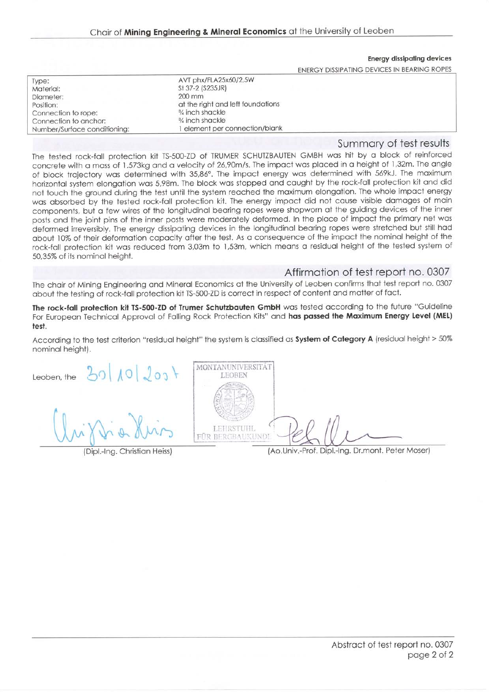#### **Energy dissipating devices**

**ENERGY DISSIPATING DEVICES IN BEARING ROPES** 

| Type:                        | AVT phx/FLA25x60/2,5W             |  |
|------------------------------|-----------------------------------|--|
| Material:                    | St 37-2 (S235JR)                  |  |
| Diameter:                    | 200 mm                            |  |
| Position:                    | at the right and left foundations |  |
| Connection to rope:          | $\frac{3}{4}$ inch shackle        |  |
| Connection to anchor:        | $\frac{3}{4}$ inch shackle        |  |
| Number/Surface conditioning: | 1 element per connection/blank    |  |
|                              |                                   |  |

#### Summary of test results

The tested rock-fall protection kit TS-500-ZD of TRUMER SCHUTZBAUTEN GMBH was hit by a block of reinforced concrete with a mass of 1.573kg and a velocity of 26,90m/s. The impact was placed in a height of 1,32m. The angle of block trajectory was determined with 35,86°. The impact energy was determined with 569kJ. The maximum horizontal system elongation was 5,98m. The block was stopped and caught by the rock-fall protection kit and did not touch the ground during the test until the system reached the maximum elongation. The whole impact energy was absorbed by the tested rock-fall protection kit. The energy impact did not cause visible damages of main components, but a few wires of the longitudinal bearing ropes were shopworn at the guiding devices of the inner posts and the joint pins of the inner posts were moderately deformed. In the place of impact the primary net was deformed irreversibly. The energy dissipating devices in the longitudinal bearing ropes were stretched but still had about 10% of their deformation capacity after the test. As a consequence of the impact the nominal height of the rock-fall protection kit was reduced from 3,03m to 1,53m, which means a residual height of the tested system of 50,35% of its nominal height.

#### Affirmation of test report no. 0307

The chair of Mining Engineering and Mineral Economics at the University of Leoben confirms that test report no. 0307 about the testing of rock-fall protection kit TS-500-ZD is correct in respect of content and matter of fact.

The rock-fall protection kit TS-500-ZD of Trumer Schutzbauten GmbH was tested according to the future "Guideline For European Technical Approval of Falling Rock Protection Kits" and has passed the Maximum Energy Level (MEL) test.

According to the test criterion "residual height" the system is classified as System of Category A (residual height > 50% nominal height).

Leoben, the  $\frac{20}{10}$   $\frac{20}{10}$ 

(Dipl.-Ing. Christian Heiss)



(Ao.Univ.-Prof. Dipl.-Ing. Dr.mont. Peter Moser)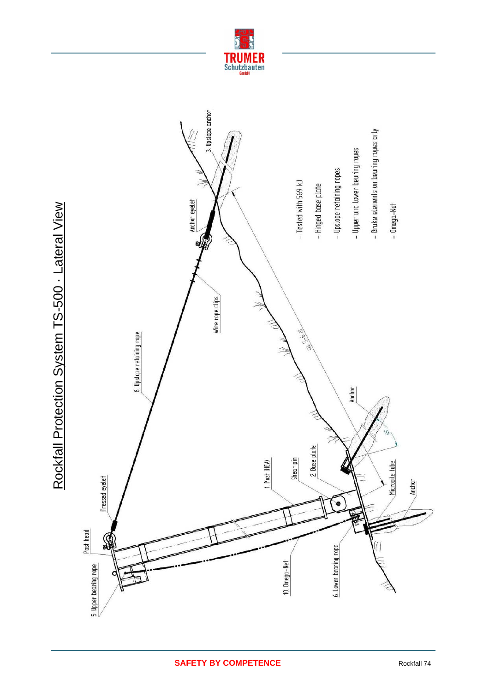

Rockfall Protection System TS-500 · Lateral View Rockfall Protection System TS-500 - Lateral View